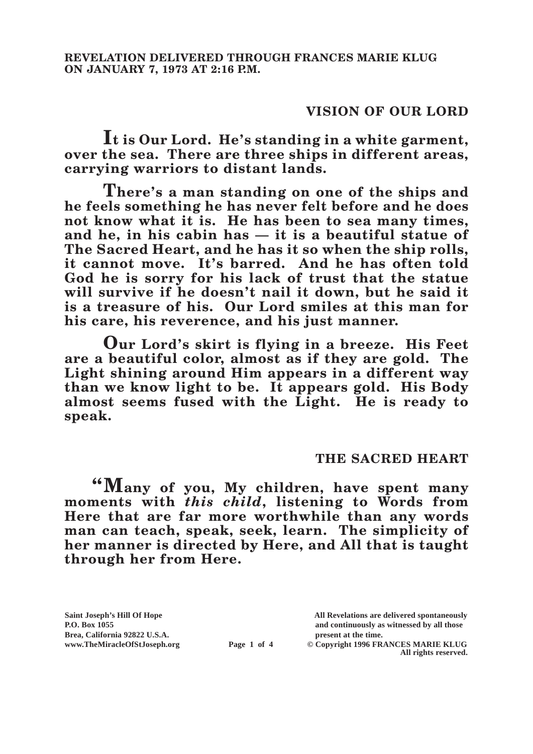## **VISION OF OUR LORD**

**It is Our Lord. He's standing in a white garment, over the sea. There are three ships in different areas, carrying warriors to distant lands.**

**There's a man standing on one of the ships and he feels something he has never felt before and he does not know what it is. He has been to sea many times, and he, in his cabin has — it is a beautiful statue of The Sacred Heart, and he has it so when the ship rolls, it cannot move. It's barred. And he has often told God he is sorry for his lack of trust that the statue will survive if he doesn't nail it down, but he said it is a treasure of his. Our Lord smiles at this man for his care, his reverence, and his just manner.**

**Our Lord's skirt is flying in a breeze. His Feet are a beautiful color, almost as if they are gold. The Light shining around Him appears in a different way than we know light to be. It appears gold. His Body almost seems fused with the Light. He is ready to speak.**

## **THE SACRED HEART**

**"Many of you, My children, have spent many moments with** *this child***, listening to Words from Here that are far more worthwhile than any words man can teach, speak, seek, learn. The simplicity of her manner is directed by Here, and All that is taught through her from Here.**

Brea, California 92822 U.S.A.<br>
www.TheMiracleOfStJoseph.org<br> **Page 1 of 4** © Copyright 1996 FR.

**Saint Joseph's Hill Of Hope All Revelations are delivered spontaneously P.O. Box 1055 and continuously as witnessed by all those** 

**Page 1 of 4** © Copyright 1996 FRANCES MARIE KLUG **All rights reserved.**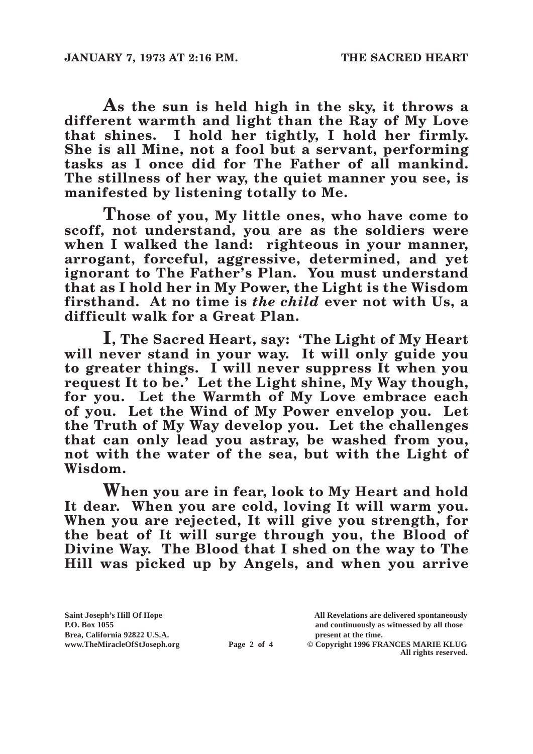**As the sun is held high in the sky, it throws a different warmth and light than the Ray of My Love that shines. I hold her tightly, I hold her firmly. She is all Mine, not a fool but a servant, performing tasks as I once did for The Father of all mankind. The stillness of her way, the quiet manner you see, is manifested by listening totally to Me.**

**Those of you, My little ones, who have come to scoff, not understand, you are as the soldiers were when I walked the land: righteous in your manner, arrogant, forceful, aggressive, determined, and yet ignorant to The Father's Plan. You must understand that as I hold her in My Power, the Light is the Wisdom firsthand. At no time is** *the child* **ever not with Us, a difficult walk for a Great Plan.**

**I, The Sacred Heart, say: 'The Light of My Heart will never stand in your way. It will only guide you to greater things. I will never suppress It when you request It to be.' Let the Light shine, My Way though, for you. Let the Warmth of My Love embrace each of you. Let the Wind of My Power envelop you. Let the Truth of My Way develop you. Let the challenges that can only lead you astray, be washed from you, not with the water of the sea, but with the Light of Wisdom.**

**When you are in fear, look to My Heart and hold It dear. When you are cold, loving It will warm you. When you are rejected, It will give you strength, for the beat of It will surge through you, the Blood of Divine Way. The Blood that I shed on the way to The Hill was picked up by Angels, and when you arrive** 

Brea, California 92822 U.S.A.<br>
www.TheMiracleOfStJoseph.org<br> **Page 2 of 4** © Copyright 1996 FR.

**Saint Joseph's Hill Of Hope All Revelations are delivered spontaneously P.O. Box 1055 and continuously as witnessed by all those** 

**Page 2 of 4** © Copyright 1996 FRANCES MARIE KLUG **All rights reserved.**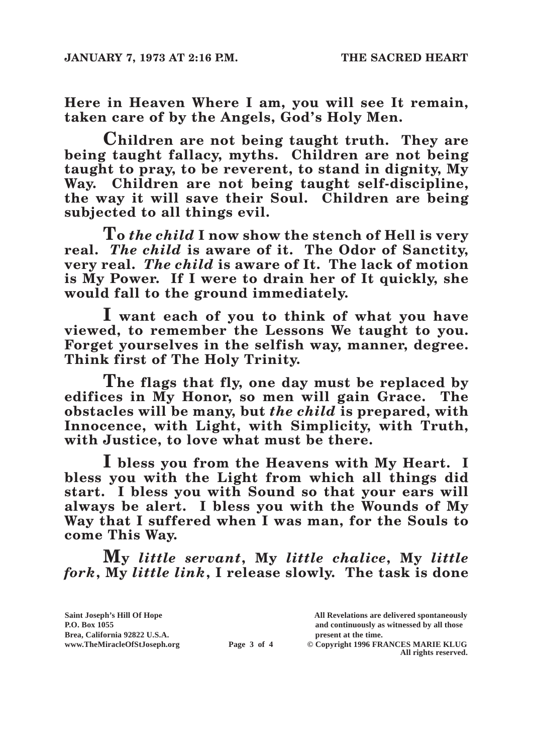**Here in Heaven Where I am, you will see It remain, taken care of by the Angels, God's Holy Men.**

**Children are not being taught truth. They are being taught fallacy, myths. Children are not being taught to pray, to be reverent, to stand in dignity, My Way. Children are not being taught self-discipline, the way it will save their Soul. Children are being subjected to all things evil.**

**To** *the child* **I now show the stench of Hell is very real.** *The child* **is aware of it. The Odor of Sanctity, very real.** *The child* **is aware of It. The lack of motion is My Power. If I were to drain her of It quickly, she would fall to the ground immediately.**

**I want each of you to think of what you have viewed, to remember the Lessons We taught to you. Forget yourselves in the selfish way, manner, degree. Think first of The Holy Trinity.**

**The flags that fly, one day must be replaced by**  edifices in My Honor, so men will gain Grace. **obstacles will be many, but** *the child* **is prepared, with Innocence, with Light, with Simplicity, with Truth, with Justice, to love what must be there.**

**I bless you from the Heavens with My Heart. I bless you with the Light from which all things did start. I bless you with Sound so that your ears will always be alert. I bless you with the Wounds of My Way that I suffered when I was man, for the Souls to come This Way.**

**My** *little servant***, My** *little chalice***, My** *little fork***, My** *little link***, I release slowly. The task is done** 

| Saint Joseph's Hill Of Hope   |             | All Revelations are delivered spontaneously |
|-------------------------------|-------------|---------------------------------------------|
| <b>P.O. Box 1055</b>          |             | and continuously as witnessed by all those  |
| Brea, California 92822 U.S.A. |             | present at the time.                        |
| www.TheMiracleOfStJoseph.org  | Page 3 of 4 | © Copyright 1996 FRANCES MARIE KLUG         |
|                               |             | All rights reserved.                        |